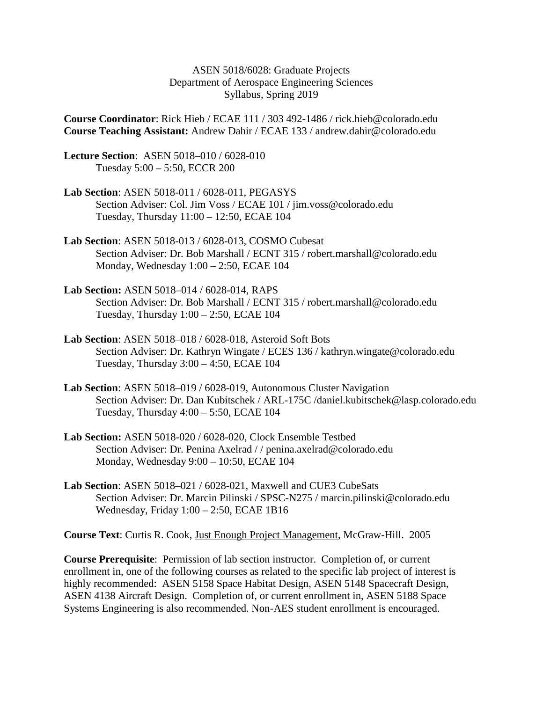## ASEN 5018/6028: Graduate Projects Department of Aerospace Engineering Sciences Syllabus, Spring 2019

**Course Coordinator**: Rick Hieb / ECAE 111 / 303 492-1486 / rick.hieb@colorado.edu **Course Teaching Assistant:** Andrew Dahir / ECAE 133 / andrew.dahir@colorado.edu

**Lecture Section**: ASEN 5018–010 / 6028-010 Tuesday 5:00 – 5:50, ECCR 200

- **Lab Section**: ASEN 5018-011 / 6028-011, PEGASYS Section Adviser: Col. Jim Voss / ECAE 101 / jim.voss@colorado.edu Tuesday, Thursday 11:00 – 12:50, ECAE 104
- **Lab Section**: ASEN 5018-013 / 6028-013, COSMO Cubesat Section Adviser: Dr. Bob Marshall / ECNT 315 / robert.marshall@colorado.edu Monday, Wednesday 1:00 – 2:50, ECAE 104
- **Lab Section:** ASEN 5018–014 / 6028-014, RAPS Section Adviser: Dr. Bob Marshall / ECNT 315 / robert.marshall@colorado.edu Tuesday, Thursday 1:00 – 2:50, ECAE 104
- **Lab Section**: ASEN 5018–018 / 6028-018, Asteroid Soft Bots Section Adviser: Dr. Kathryn Wingate / ECES 136 / kathryn.wingate@colorado.edu Tuesday, Thursday 3:00 – 4:50, ECAE 104
- **Lab Section**: ASEN 5018–019 / 6028-019, Autonomous Cluster Navigation Section Adviser: Dr. Dan Kubitschek / ARL-175C /daniel.kubitschek@lasp.colorado.edu Tuesday, Thursday 4:00 – 5:50, ECAE 104
- **Lab Section:** ASEN 5018-020 / 6028-020, Clock Ensemble Testbed Section Adviser: Dr. Penina Axelrad // penina.axelrad@colorado.edu Monday, Wednesday 9:00 – 10:50, ECAE 104
- **Lab Section**: ASEN 5018–021 / 6028-021, Maxwell and CUE3 CubeSats Section Adviser: Dr. Marcin Pilinski / SPSC-N275 / marcin.pilinski@colorado.edu Wednesday, Friday 1:00 – 2:50, ECAE 1B16

**Course Text**: Curtis R. Cook, Just Enough Project Management, McGraw-Hill. 2005

**Course Prerequisite**: Permission of lab section instructor. Completion of, or current enrollment in, one of the following courses as related to the specific lab project of interest is highly recommended: ASEN 5158 Space Habitat Design, ASEN 5148 Spacecraft Design, ASEN 4138 Aircraft Design. Completion of, or current enrollment in, ASEN 5188 Space Systems Engineering is also recommended. Non-AES student enrollment is encouraged.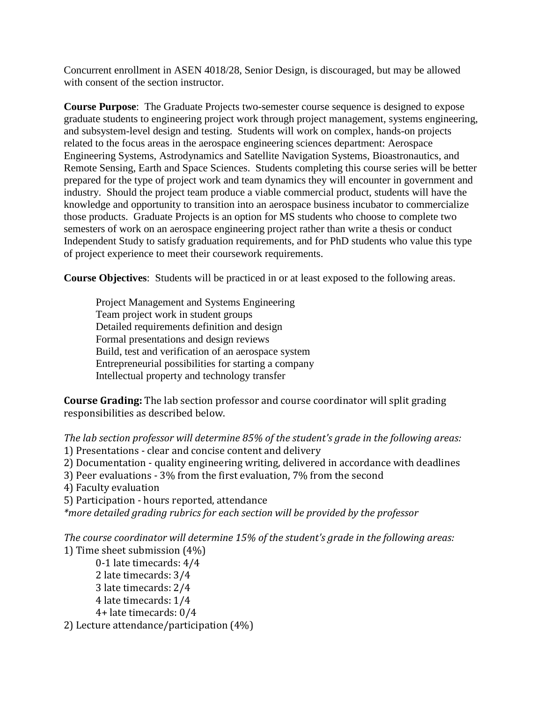Concurrent enrollment in ASEN 4018/28, Senior Design, is discouraged, but may be allowed with consent of the section instructor.

**Course Purpose**: The Graduate Projects two-semester course sequence is designed to expose graduate students to engineering project work through project management, systems engineering, and subsystem-level design and testing. Students will work on complex, hands-on projects related to the focus areas in the aerospace engineering sciences department: Aerospace Engineering Systems, Astrodynamics and Satellite Navigation Systems, Bioastronautics, and Remote Sensing, Earth and Space Sciences. Students completing this course series will be better prepared for the type of project work and team dynamics they will encounter in government and industry. Should the project team produce a viable commercial product, students will have the knowledge and opportunity to transition into an aerospace business incubator to commercialize those products. Graduate Projects is an option for MS students who choose to complete two semesters of work on an aerospace engineering project rather than write a thesis or conduct Independent Study to satisfy graduation requirements, and for PhD students who value this type of project experience to meet their coursework requirements.

**Course Objectives**: Students will be practiced in or at least exposed to the following areas.

Project Management and Systems Engineering Team project work in student groups Detailed requirements definition and design Formal presentations and design reviews Build, test and verification of an aerospace system Entrepreneurial possibilities for starting a company Intellectual property and technology transfer

**Course Grading:** The lab section professor and course coordinator will split grading responsibilities as described below.

*The lab section professor will determine 85% of the student's grade in the following areas:* 1) Presentations - clear and concise content and delivery

2) Documentation - quality engineering writing, delivered in accordance with deadlines

3) Peer evaluations - 3% from the first evaluation, 7% from the second

4) Faculty evaluation

5) Participation - hours reported, attendance

*\*more detailed grading rubrics for each section will be provided by the professor*

*The course coordinator will determine 15% of the student's grade in the following areas:* 1) Time sheet submission (4%)

0-1 late timecards: 4/4 2 late timecards: 3/4 3 late timecards: 2/4 4 late timecards: 1/4 4+ late timecards: 0/4

2) Lecture attendance/participation (4%)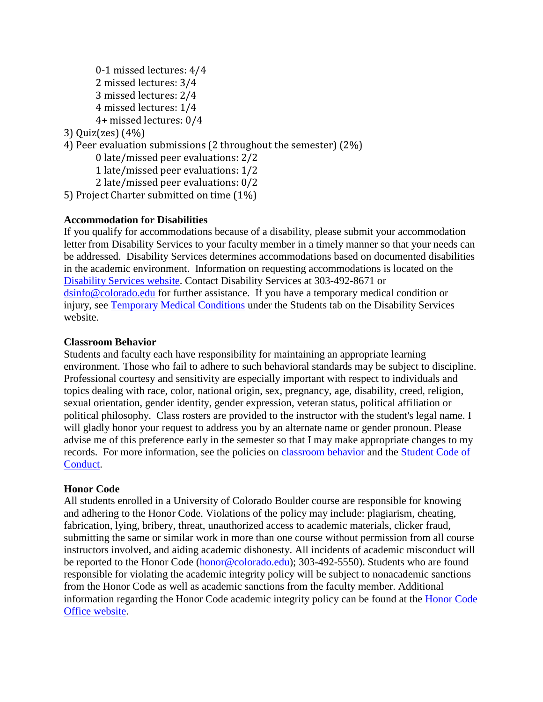0-1 missed lectures: 4/4 2 missed lectures: 3/4 3 missed lectures: 2/4 4 missed lectures: 1/4 4+ missed lectures: 0/4 3) Quiz(zes) (4%) 4) Peer evaluation submissions (2 throughout the semester) (2%) 0 late/missed peer evaluations: 2/2 1 late/missed peer evaluations: 1/2 2 late/missed peer evaluations: 0/2 5) Project Charter submitted on time (1%)

# **Accommodation for Disabilities**

If you qualify for accommodations because of a disability, please submit your accommodation letter from Disability Services to your faculty member in a timely manner so that your needs can be addressed. Disability Services determines accommodations based on documented disabilities in the academic environment. Information on requesting accommodations is located on the [Disability Services website.](http://www.colorado.edu/disabilityservices/students) Contact Disability Services at 303-492-8671 or [dsinfo@colorado.edu](mailto:dsinfo@colorado.edu) for further assistance. If you have a temporary medical condition or injury, see [Temporary Medical Conditions](http://www.colorado.edu/disabilityservices/students/temporary-medical-conditions) under the Students tab on the Disability Services website.

## **Classroom Behavior**

Students and faculty each have responsibility for maintaining an appropriate learning environment. Those who fail to adhere to such behavioral standards may be subject to discipline. Professional courtesy and sensitivity are especially important with respect to individuals and topics dealing with race, color, national origin, sex, pregnancy, age, disability, creed, religion, sexual orientation, gender identity, gender expression, veteran status, political affiliation or political philosophy. Class rosters are provided to the instructor with the student's legal name. I will gladly honor your request to address you by an alternate name or gender pronoun. Please advise me of this preference early in the semester so that I may make appropriate changes to my records. For more information, see the policies on [classroom behavior](http://www.colorado.edu/policies/student-classroom-and-course-related-behavior) and the [Student Code of](http://www.colorado.edu/osccr/)  [Conduct.](http://www.colorado.edu/osccr/)

# **Honor Code**

All students enrolled in a University of Colorado Boulder course are responsible for knowing and adhering to the Honor Code. Violations of the policy may include: plagiarism, cheating, fabrication, lying, bribery, threat, unauthorized access to academic materials, clicker fraud, submitting the same or similar work in more than one course without permission from all course instructors involved, and aiding academic dishonesty. All incidents of academic misconduct will be reported to the Honor Code [\(honor@colorado.edu\)](mailto:honor@colorado.edu); 303-492-5550). Students who are found responsible for violating the academic integrity policy will be subject to nonacademic sanctions from the Honor Code as well as academic sanctions from the faculty member. Additional information regarding the Honor Code academic integrity policy can be found at the [Honor Code](https://www.colorado.edu/osccr/honor-code)  [Office website.](https://www.colorado.edu/osccr/honor-code)